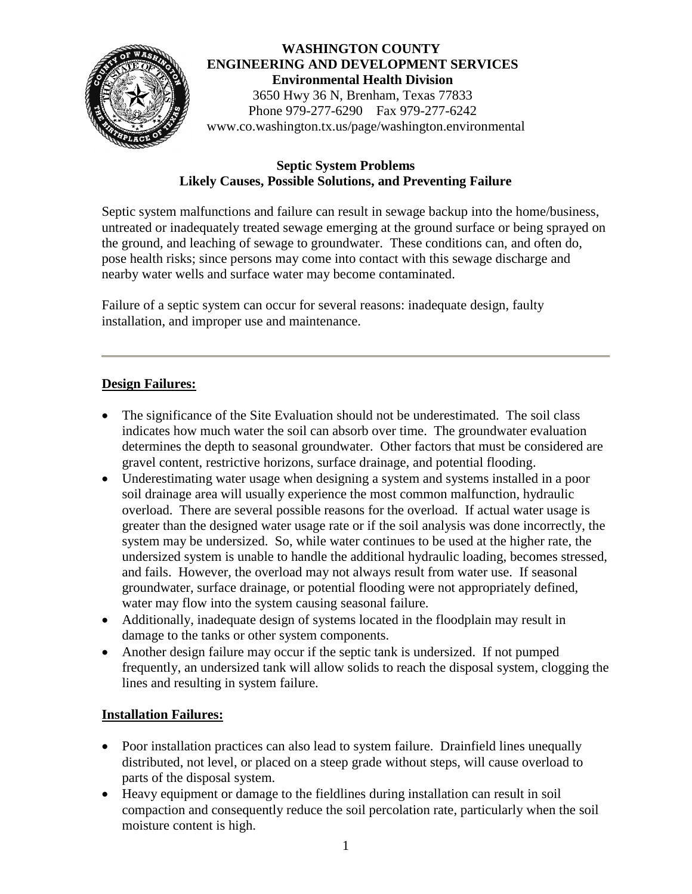

# **WASHINGTON COUNTY ENGINEERING AND DEVELOPMENT SERVICES Environmental Health Division** 3650 Hwy 36 N, Brenham, Texas 77833 Phone 979-277-6290 Fax 979-277-6242 www.co.washington.tx.us/page/washington.environmental

### **Septic System Problems Likely Causes, Possible Solutions, and Preventing Failure**

Septic system malfunctions and failure can result in sewage backup into the home/business, untreated or inadequately treated sewage emerging at the ground surface or being sprayed on the ground, and leaching of sewage to groundwater. These conditions can, and often do, pose health risks; since persons may come into contact with this sewage discharge and nearby water wells and surface water may become contaminated.

Failure of a septic system can occur for several reasons: inadequate design, faulty installation, and improper use and maintenance.

### **Design Failures:**

- The significance of the Site Evaluation should not be underestimated. The soil class indicates how much water the soil can absorb over time. The groundwater evaluation determines the depth to seasonal groundwater. Other factors that must be considered are gravel content, restrictive horizons, surface drainage, and potential flooding.
- Underestimating water usage when designing a system and systems installed in a poor soil drainage area will usually experience the most common malfunction, hydraulic overload. There are several possible reasons for the overload. If actual water usage is greater than the designed water usage rate or if the soil analysis was done incorrectly, the system may be undersized. So, while water continues to be used at the higher rate, the undersized system is unable to handle the additional hydraulic loading, becomes stressed, and fails. However, the overload may not always result from water use. If seasonal groundwater, surface drainage, or potential flooding were not appropriately defined, water may flow into the system causing seasonal failure.
- Additionally, inadequate design of systems located in the floodplain may result in damage to the tanks or other system components.
- Another design failure may occur if the septic tank is undersized. If not pumped frequently, an undersized tank will allow solids to reach the disposal system, clogging the lines and resulting in system failure.

### **Installation Failures:**

- Poor installation practices can also lead to system failure. Drainfield lines unequally distributed, not level, or placed on a steep grade without steps, will cause overload to parts of the disposal system.
- Heavy equipment or damage to the fieldlines during installation can result in soil compaction and consequently reduce the soil percolation rate, particularly when the soil moisture content is high.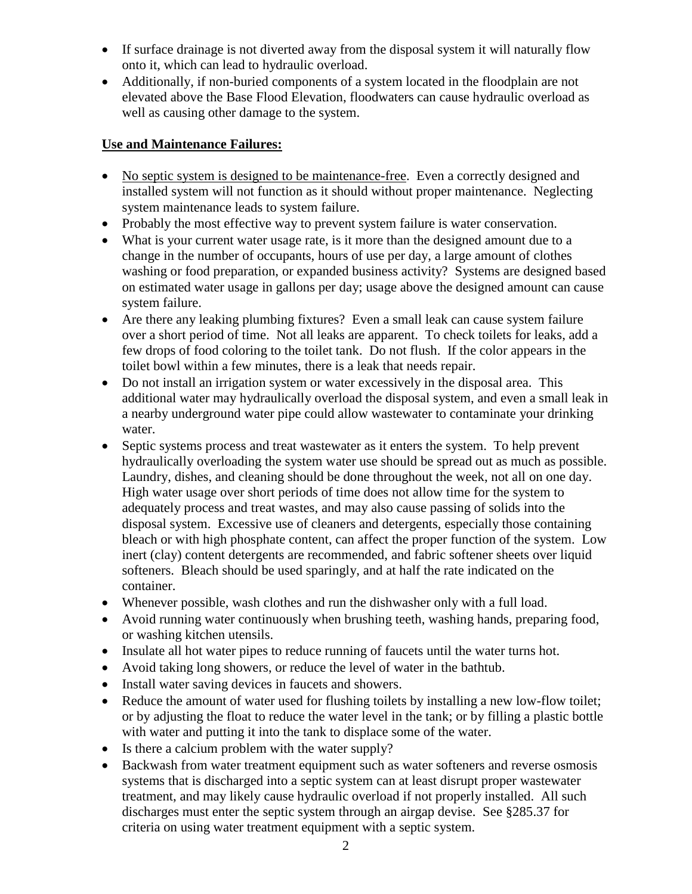- If surface drainage is not diverted away from the disposal system it will naturally flow onto it, which can lead to hydraulic overload.
- Additionally, if non-buried components of a system located in the floodplain are not elevated above the Base Flood Elevation, floodwaters can cause hydraulic overload as well as causing other damage to the system.

## **Use and Maintenance Failures:**

- No septic system is designed to be maintenance-free. Even a correctly designed and installed system will not function as it should without proper maintenance. Neglecting system maintenance leads to system failure.
- Probably the most effective way to prevent system failure is water conservation.
- What is your current water usage rate, is it more than the designed amount due to a change in the number of occupants, hours of use per day, a large amount of clothes washing or food preparation, or expanded business activity? Systems are designed based on estimated water usage in gallons per day; usage above the designed amount can cause system failure.
- Are there any leaking plumbing fixtures? Even a small leak can cause system failure over a short period of time. Not all leaks are apparent. To check toilets for leaks, add a few drops of food coloring to the toilet tank. Do not flush. If the color appears in the toilet bowl within a few minutes, there is a leak that needs repair.
- Do not install an irrigation system or water excessively in the disposal area. This additional water may hydraulically overload the disposal system, and even a small leak in a nearby underground water pipe could allow wastewater to contaminate your drinking water.
- Septic systems process and treat wastewater as it enters the system. To help prevent hydraulically overloading the system water use should be spread out as much as possible. Laundry, dishes, and cleaning should be done throughout the week, not all on one day. High water usage over short periods of time does not allow time for the system to adequately process and treat wastes, and may also cause passing of solids into the disposal system. Excessive use of cleaners and detergents, especially those containing bleach or with high phosphate content, can affect the proper function of the system. Low inert (clay) content detergents are recommended, and fabric softener sheets over liquid softeners. Bleach should be used sparingly, and at half the rate indicated on the container.
- Whenever possible, wash clothes and run the dishwasher only with a full load.
- Avoid running water continuously when brushing teeth, washing hands, preparing food, or washing kitchen utensils.
- Insulate all hot water pipes to reduce running of faucets until the water turns hot.
- Avoid taking long showers, or reduce the level of water in the bathtub.
- Install water saving devices in faucets and showers.
- Reduce the amount of water used for flushing toilets by installing a new low-flow toilet; or by adjusting the float to reduce the water level in the tank; or by filling a plastic bottle with water and putting it into the tank to displace some of the water.
- Is there a calcium problem with the water supply?
- Backwash from water treatment equipment such as water softeners and reverse osmosis systems that is discharged into a septic system can at least disrupt proper wastewater treatment, and may likely cause hydraulic overload if not properly installed. All such discharges must enter the septic system through an airgap devise. See §285.37 for criteria on using water treatment equipment with a septic system.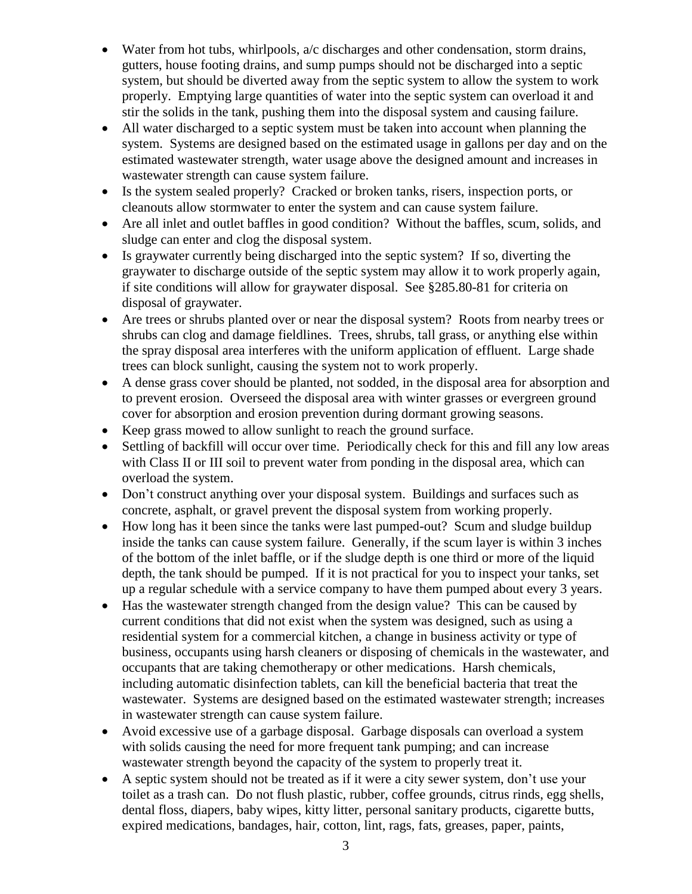- Water from hot tubs, whirlpools, a/c discharges and other condensation, storm drains, gutters, house footing drains, and sump pumps should not be discharged into a septic system, but should be diverted away from the septic system to allow the system to work properly. Emptying large quantities of water into the septic system can overload it and stir the solids in the tank, pushing them into the disposal system and causing failure.
- All water discharged to a septic system must be taken into account when planning the system. Systems are designed based on the estimated usage in gallons per day and on the estimated wastewater strength, water usage above the designed amount and increases in wastewater strength can cause system failure.
- Is the system sealed properly? Cracked or broken tanks, risers, inspection ports, or cleanouts allow stormwater to enter the system and can cause system failure.
- Are all inlet and outlet baffles in good condition? Without the baffles, scum, solids, and sludge can enter and clog the disposal system.
- Is graywater currently being discharged into the septic system? If so, diverting the graywater to discharge outside of the septic system may allow it to work properly again, if site conditions will allow for graywater disposal. See §285.80-81 for criteria on disposal of graywater.
- Are trees or shrubs planted over or near the disposal system? Roots from nearby trees or shrubs can clog and damage fieldlines. Trees, shrubs, tall grass, or anything else within the spray disposal area interferes with the uniform application of effluent. Large shade trees can block sunlight, causing the system not to work properly.
- A dense grass cover should be planted, not sodded, in the disposal area for absorption and to prevent erosion. Overseed the disposal area with winter grasses or evergreen ground cover for absorption and erosion prevention during dormant growing seasons.
- Keep grass mowed to allow sunlight to reach the ground surface.
- Settling of backfill will occur over time. Periodically check for this and fill any low areas with Class II or III soil to prevent water from ponding in the disposal area, which can overload the system.
- Don't construct anything over your disposal system. Buildings and surfaces such as concrete, asphalt, or gravel prevent the disposal system from working properly.
- How long has it been since the tanks were last pumped-out? Scum and sludge buildup inside the tanks can cause system failure. Generally, if the scum layer is within 3 inches of the bottom of the inlet baffle, or if the sludge depth is one third or more of the liquid depth, the tank should be pumped. If it is not practical for you to inspect your tanks, set up a regular schedule with a service company to have them pumped about every 3 years.
- Has the wastewater strength changed from the design value? This can be caused by current conditions that did not exist when the system was designed, such as using a residential system for a commercial kitchen, a change in business activity or type of business, occupants using harsh cleaners or disposing of chemicals in the wastewater, and occupants that are taking chemotherapy or other medications. Harsh chemicals, including automatic disinfection tablets, can kill the beneficial bacteria that treat the wastewater. Systems are designed based on the estimated wastewater strength; increases in wastewater strength can cause system failure.
- Avoid excessive use of a garbage disposal. Garbage disposals can overload a system with solids causing the need for more frequent tank pumping; and can increase wastewater strength beyond the capacity of the system to properly treat it.
- A septic system should not be treated as if it were a city sewer system, don't use your toilet as a trash can. Do not flush plastic, rubber, coffee grounds, citrus rinds, egg shells, dental floss, diapers, baby wipes, kitty litter, personal sanitary products, cigarette butts, expired medications, bandages, hair, cotton, lint, rags, fats, greases, paper, paints,